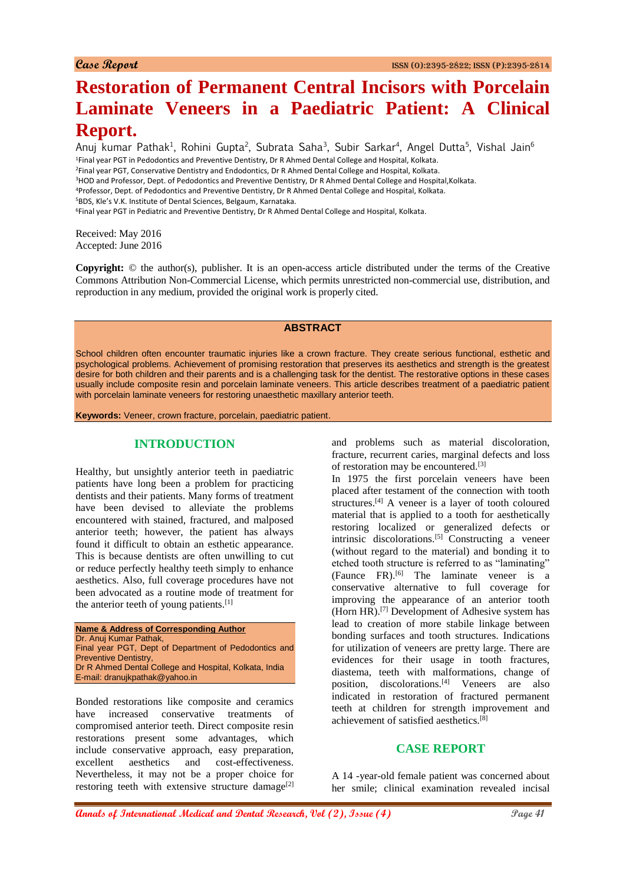# **Restoration of Permanent Central Incisors with Porcelain Laminate Veneers in a Paediatric Patient: A Clinical Report.**

Anuj kumar Pathak<sup>1</sup>, Rohini Gupta<sup>2</sup>, Subrata Saha<sup>3</sup>, Subir Sarkar<sup>4</sup>, Angel Dutta<sup>5</sup>, Vishal Jain<sup>6</sup> <sup>1</sup>Final year PGT in Pedodontics and Preventive Dentistry, Dr R Ahmed Dental College and Hospital, Kolkata. <sup>2</sup>Final year PGT, Conservative Dentistry and Endodontics, Dr R Ahmed Dental College and Hospital, Kolkata. <sup>3</sup>HOD and Professor, Dept. of Pedodontics and Preventive Dentistry, Dr R Ahmed Dental College and Hospital, Kolkata.

<sup>4</sup>Professor, Dept. of Pedodontics and Preventive Dentistry, Dr R Ahmed Dental College and Hospital, Kolkata.

<sup>5</sup>BDS, Kle's V.K. Institute of Dental Sciences, Belgaum, Karnataka.

<sup>6</sup>Final year PGT in Pediatric and Preventive Dentistry, Dr R Ahmed Dental College and Hospital, Kolkata.

Received: May 2016 Accepted: June 2016

**Copyright:** © the author(s), publisher. It is an open-access article distributed under the terms of the Creative Commons Attribution Non-Commercial License, which permits unrestricted non-commercial use, distribution, and reproduction in any medium, provided the original work is properly cited.

#### **ABSTRACT**

School children often encounter traumatic injuries like a crown fracture. They create serious functional, esthetic and psychological problems. Achievement of promising restoration that preserves its aesthetics and strength is the greatest desire for both children and their parents and is a challenging task for the dentist. The restorative options in these cases usually include composite resin and porcelain laminate veneers. This article describes treatment of a paediatric patient with porcelain laminate veneers for restoring unaesthetic maxillary anterior teeth.

**Keywords:** Veneer, crown fracture, porcelain, paediatric patient.

# **INTRODUCTION**

Healthy, but unsightly anterior teeth in paediatric patients have long been a problem for practicing dentists and their patients. Many forms of treatment have been devised to alleviate the problems encountered with stained, fractured, and malposed anterior teeth; however, the patient has always found it difficult to obtain an esthetic appearance. This is because dentists are often unwilling to cut or reduce perfectly healthy teeth simply to enhance aesthetics. Also, full coverage procedures have not been advocated as a routine mode of treatment for the anterior teeth of young patients.[1]

**Name & Address of Corresponding Author** Dr. Anuj Kumar Pathak, Final year PGT, Dept of Department of Pedodontics and Preventive Dentistry, Dr R Ahmed Dental College and Hospital, Kolkata, India E-mail: dranujkpathak@yahoo.in

Bonded restorations like composite and ceramics have increased conservative treatments of compromised anterior teeth. Direct composite resin restorations present some advantages, which include conservative approach, easy preparation, excellent aesthetics and cost-effectiveness. Nevertheless, it may not be a proper choice for restoring teeth with extensive structure damage<sup>[2]</sup> and problems such as material discoloration, fracture, recurrent caries, marginal defects and loss of restoration may be encountered.[3]

In 1975 the first porcelain veneers have been placed after testament of the connection with tooth structures.<sup>[4]</sup> A veneer is a layer of tooth coloured material that is applied to a tooth for aesthetically restoring localized or generalized defects or intrinsic discolorations.[5] Constructing a veneer (without regard to the material) and bonding it to etched tooth structure is referred to as "laminating" (Faunce FR).[6] The laminate veneer is a conservative alternative to full coverage for improving the appearance of an anterior tooth (Horn HR).[7] Development of Adhesive system has lead to creation of more stabile linkage between bonding surfaces and tooth structures. Indications for utilization of veneers are pretty large. There are evidences for their usage in tooth fractures, diastema, teeth with malformations, change of position, discolorations.<sup>[4]</sup> Veneers are also indicated in restoration of fractured permanent teeth at children for strength improvement and achievement of satisfied aesthetics.<sup>[8]</sup>

# **CASE REPORT**

A 14 -year-old female patient was concerned about her smile; clinical examination revealed incisal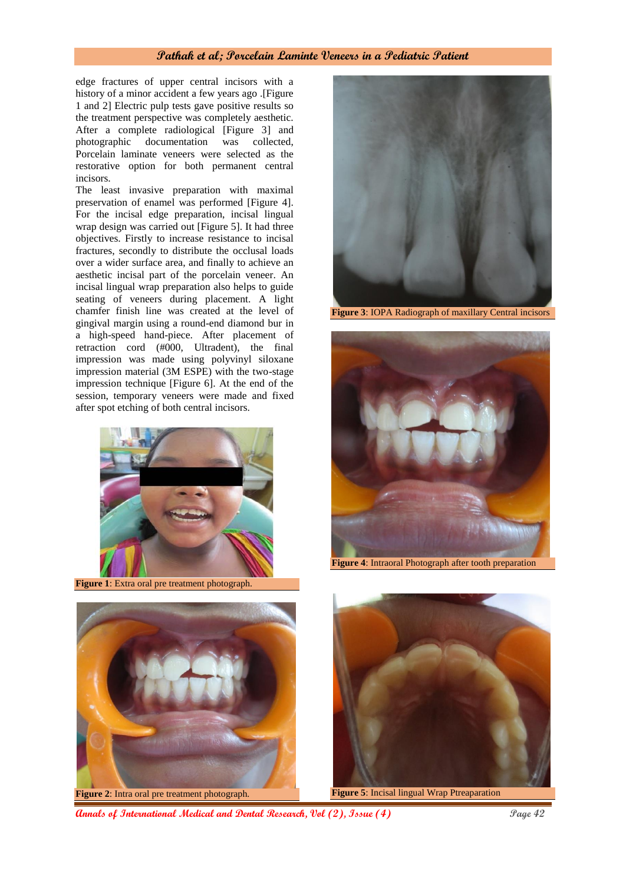### **Pathak et al; Porcelain Laminte Veneers in a Pediatric Patient**

edge fractures of upper central incisors with a history of a minor accident a few years ago .[Figure 1 and 2] Electric pulp tests gave positive results so the treatment perspective was completely aesthetic. After a complete radiological [Figure 3] and photographic documentation was collected, Porcelain laminate veneers were selected as the restorative option for both permanent central incisors.

The least invasive preparation with maximal preservation of enamel was performed [Figure 4]. For the incisal edge preparation, incisal lingual wrap design was carried out [Figure 5]. It had three objectives. Firstly to increase resistance to incisal fractures, secondly to distribute the occlusal loads over a wider surface area, and finally to achieve an aesthetic incisal part of the porcelain veneer. An incisal lingual wrap preparation also helps to guide seating of veneers during placement. A light chamfer finish line was created at the level of gingival margin using a round-end diamond bur in a high-speed hand-piece. After placement of retraction cord (#000, Ultradent), the final impression was made using polyvinyl siloxane impression material (3M ESPE) with the two-stage impression technique [Figure 6]. At the end of the session, temporary veneers were made and fixed after spot etching of both central incisors.



**Figure 1**: Extra oral pre treatment photograph.



**Figure 3**: IOPA Radiograph of maxillary Central incisors



**Figure 4**: Intraoral Photograph after tooth preparation



**Figure 2**: Intra oral pre treatment photograph.



**Figure 5**: Incisal lingual Wrap Ptreaparation

**Annals of International Medical and Dental Research, Vol (2), Issue (4) Page 42**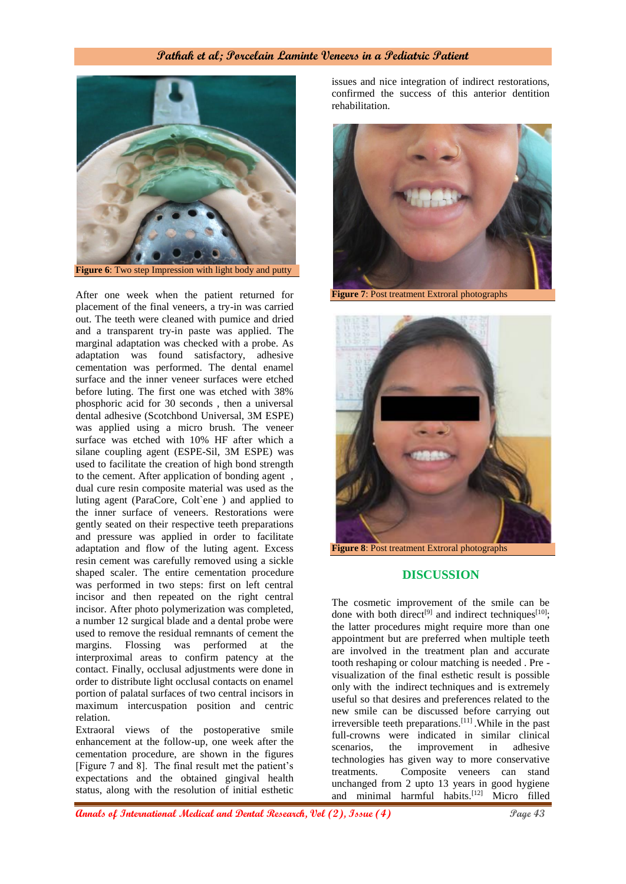## **Pathak et al; Porcelain Laminte Veneers in a Pediatric Patient**



After one week when the patient returned for placement of the final veneers, a try-in was carried out. The teeth were cleaned with pumice and dried and a transparent try-in paste was applied. The marginal adaptation was checked with a probe. As adaptation was found satisfactory, adhesive cementation was performed. The dental enamel surface and the inner veneer surfaces were etched before luting. The first one was etched with 38% phosphoric acid for 30 seconds , then a universal dental adhesive (Scotchbond Universal, 3M ESPE) was applied using a micro brush. The veneer surface was etched with 10% HF after which a silane coupling agent (ESPE-Sil, 3M ESPE) was used to facilitate the creation of high bond strength to the cement. After application of bonding agent , dual cure resin composite material was used as the luting agent (ParaCore, Colt`ene ) and applied to the inner surface of veneers. Restorations were gently seated on their respective teeth preparations and pressure was applied in order to facilitate adaptation and flow of the luting agent. Excess resin cement was carefully removed using a sickle shaped scaler. The entire cementation procedure was performed in two steps: first on left central incisor and then repeated on the right central incisor. After photo polymerization was completed, a number 12 surgical blade and a dental probe were used to remove the residual remnants of cement the margins. Flossing was performed at the interproximal areas to confirm patency at the contact. Finally, occlusal adjustments were done in order to distribute light occlusal contacts on enamel portion of palatal surfaces of two central incisors in maximum intercuspation position and centric relation.

Extraoral views of the postoperative smile enhancement at the follow-up, one week after the cementation procedure, are shown in the figures [Figure 7 and 8]. The final result met the patient's expectations and the obtained gingival health status, along with the resolution of initial esthetic

issues and nice integration of indirect restorations, confirmed the success of this anterior dentition rehabilitation.



**Figure 7**: Post treatment Extroral photographs



#### **DISCUSSION**

The cosmetic improvement of the smile can be done with both direct<sup>[9]</sup> and indirect techniques<sup>[10]</sup>; the latter procedures might require more than one appointment but are preferred when multiple teeth are involved in the treatment plan and accurate tooth reshaping or colour matching is needed . Pre visualization of the final esthetic result is possible only with the indirect techniques and is extremely useful so that desires and preferences related to the new smile can be discussed before carrying out irreversible teeth preparations.[11] .While in the past full-crowns were indicated in similar clinical scenarios, the improvement in adhesive technologies has given way to more conservative treatments. Composite veneers can stand unchanged from 2 upto 13 years in good hygiene and minimal harmful habits.<sup>[12]</sup> Micro filled